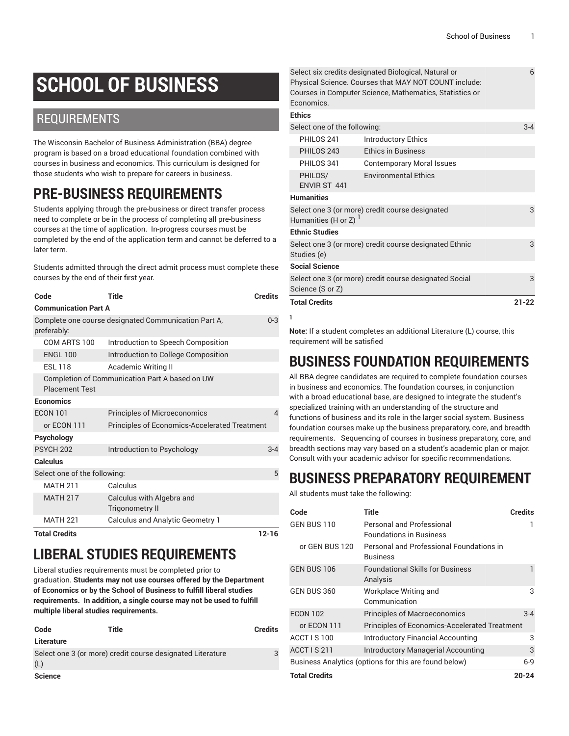6

# **SCHOOL OF BUSINESS**

### REQUIREMENTS

The Wisconsin Bachelor of Business Administration (BBA) degree program is based on a broad educational foundation combined with courses in business and economics. This curriculum is designed for those students who wish to prepare for careers in business.

# **PRE-BUSINESS REQUIREMENTS**

Students applying through the pre-business or direct transfer process need to complete or be in the process of completing all pre-business courses at the time of application. In-progress courses must be completed by the end of the application term and cannot be deferred to a later term.

Students admitted through the direct admit process must complete these courses by the end of their first year.

| Code                         | Title                                                | <b>Credits</b> |
|------------------------------|------------------------------------------------------|----------------|
| <b>Communication Part A</b>  |                                                      |                |
| preferably:                  | Complete one course designated Communication Part A, | $0 - 3$        |
| COM ARTS 100                 | Introduction to Speech Composition                   |                |
| <b>ENGL 100</b>              | Introduction to College Composition                  |                |
| <b>ESL 118</b>               | Academic Writing II                                  |                |
| <b>Placement Test</b>        | Completion of Communication Part A based on UW       |                |
| Economics                    |                                                      |                |
| <b>ECON 101</b>              | <b>Principles of Microeconomics</b>                  |                |
| or ECON 111                  | <b>Principles of Economics-Accelerated Treatment</b> |                |
| Psychology                   |                                                      |                |
| PSYCH <sub>202</sub>         | Introduction to Psychology                           | $3 - 4$        |
| Calculus                     |                                                      |                |
| Select one of the following: |                                                      | 5              |
| <b>MATH 211</b>              | Calculus                                             |                |
| <b>MATH 217</b>              | Calculus with Algebra and<br><b>Trigonometry II</b>  |                |
| <b>MATH 221</b>              | <b>Calculus and Analytic Geometry 1</b>              |                |
| <b>Total Credits</b>         |                                                      | $12 - 16$      |

# **LIBERAL STUDIES REQUIREMENTS**

Liberal studies requirements must be completed prior to graduation. **Students may not use courses offered by the Department of Economics or by the School of Business to fulfill liberal studies requirements. In addition, a single course may not be used to fulfill multiple liberal studies requirements.** 

| Code           | Title                                                      | <b>Credits</b> |
|----------------|------------------------------------------------------------|----------------|
| Literature     |                                                            |                |
| (L)            | Select one 3 (or more) credit course designated Literature | 3              |
| <b>Science</b> |                                                            |                |

Select six credits designated Biological, Natural or Physical Science. Courses that MAY NOT COUNT include: Courses in Computer Science, Mathematics, Statistics or Economics.

#### **Ethics** Select one of the following: 3-4 PHILOS 241 Introductory Ethics PHILOS 243 Ethics in Business PHILOS 341 Contemporary Moral Issues PHILOS/ ENVIR ST 441 Environmental Ethics **Humanities** Select one 3 (or more) credit course designated Humanities (H or Z) <sup>1</sup> 3 **Ethnic Studies** Select one 3 (or more) credit course designated Ethnic Studies (e) 3 **Social Science** Select one 3 (or more) credit course designated Social Science (S or Z) 3 **Total Credits 21-22 1**

**Note:** If a student completes an additional Literature (L) course, this requirement will be satisfied

## **BUSINESS FOUNDATION REQUIREMENTS**

All BBA degree candidates are required to complete foundation courses in business and economics. The foundation courses, in conjunction with a broad educational base, are designed to integrate the student's specialized training with an understanding of the structure and functions of business and its role in the larger social system. Business foundation courses make up the business preparatory, core, and breadth requirements. Sequencing of courses in business preparatory, core, and breadth sections may vary based on a student's academic plan or major. Consult with your academic advisor for specific recommendations.

# **BUSINESS PREPARATORY REQUIREMENT**

All students must take the following:

| Code                 | Title                                                       | <b>Credits</b> |
|----------------------|-------------------------------------------------------------|----------------|
| GEN BUS 110          | Personal and Professional<br><b>Foundations in Business</b> |                |
| or GEN BUS 120       | Personal and Professional Foundations in<br><b>Business</b> |                |
| GEN BUS 106          | <b>Foundational Skills for Business</b><br>Analysis         |                |
| <b>GEN BUS 360</b>   | Workplace Writing and<br>Communication                      | 3              |
| <b>ECON 102</b>      | <b>Principles of Macroeconomics</b>                         | $3 - 4$        |
| or ECON 111          | <b>Principles of Economics-Accelerated Treatment</b>        |                |
| ACCT IS 100          | <b>Introductory Financial Accounting</b>                    | 3              |
| <b>ACCT IS 211</b>   | Introductory Managerial Accounting                          | 3              |
|                      | Business Analytics (options for this are found below)       | 6-9            |
| <b>Total Credits</b> |                                                             | 20-24          |